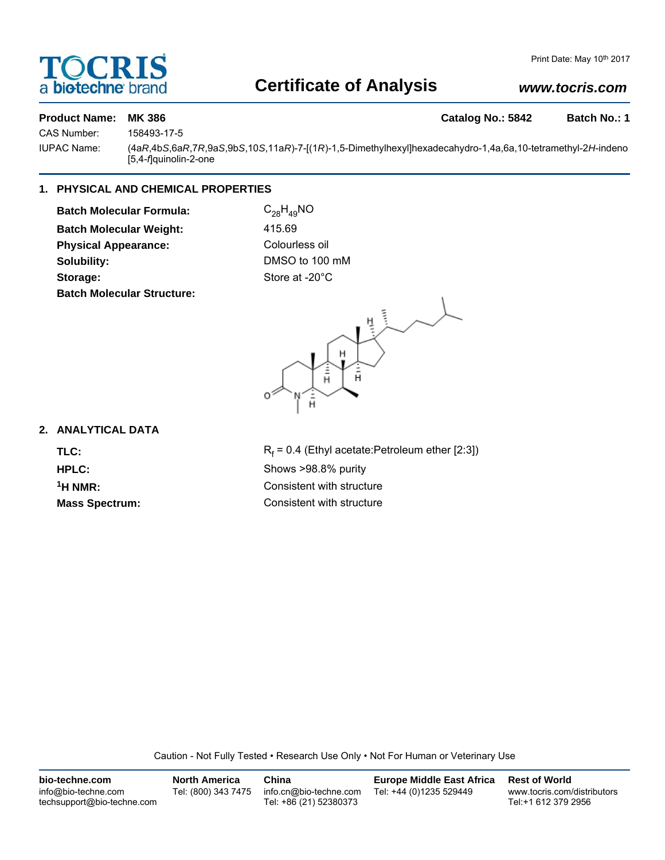## a **bio-techne** brand

### **Certificate of Analysis**

### *www.tocris.com*

### **Product Name: MK 386 Catalog No.: 5842 Batch No.: 1**

CAS Number: 158493-17-5

IUPAC Name: (4a*R*,4b*S*,6a*R*,7*R*,9a*S*,9b*S*,10*S*,11a*R*)-7-[(1*R*)-1,5-Dimethylhexyl]hexadecahydro-1,4a,6a,10-tetramethyl-2*H*-indeno [5,4-*f*]quinolin-2-one

#### **1. PHYSICAL AND CHEMICAL PROPERTIES**

**Batch Molecular Formula:** C<sub>28</sub>H<sub>49</sub>NO **Batch Molecular Weight:** 415.69 **Physical Appearance:** Colourless oil **Solubility:** DMSO to 100 mM Storage: Storage: Store at -20°C **Batch Molecular Structure:**



#### **2. ANALYTICAL DATA**

TLC: R<sub>f</sub>

 $R_f$  = 0.4 (Ethyl acetate:Petroleum ether [2:3]) **HPLC:** Shows >98.8% purity <sup>1</sup>H NMR: Consistent with structure **Mass Spectrum:** Consistent with structure

Caution - Not Fully Tested • Research Use Only • Not For Human or Veterinary Use

| bio-techne.com                                    | <b>North America</b> | China                                            | <b>Europe Middle East Africa</b> | <b>Rest of World</b>                               |
|---------------------------------------------------|----------------------|--------------------------------------------------|----------------------------------|----------------------------------------------------|
| info@bio-techne.com<br>techsupport@bio-techne.com | Tel: (800) 343 7475  | info.cn@bio-techne.com<br>Tel: +86 (21) 52380373 | Tel: +44 (0)1235 529449          | www.tocris.com/distributors<br>Tel:+1 612 379 2956 |